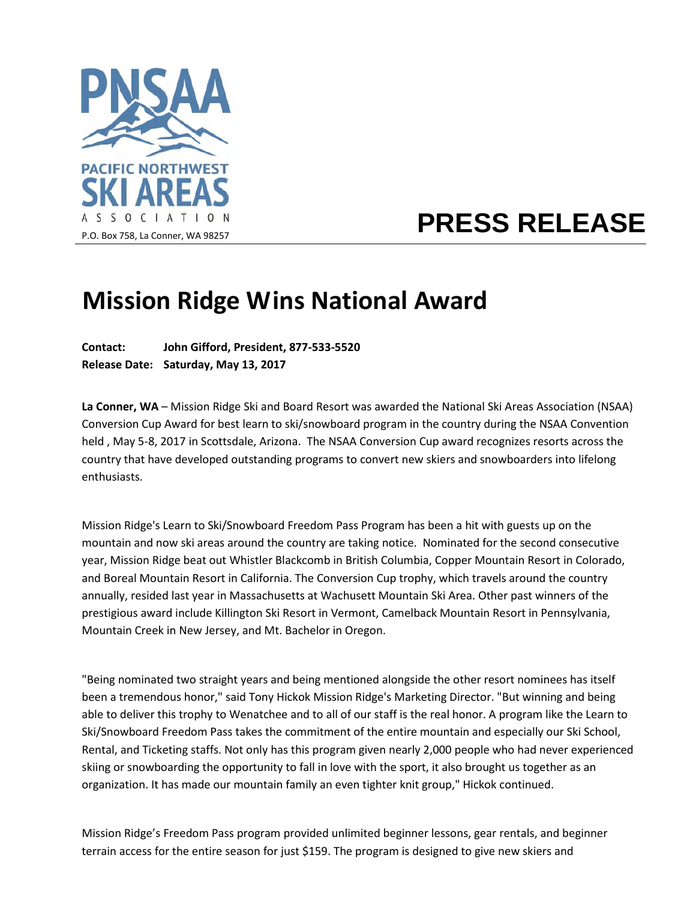

## **PRESS RELEASE**

## **Mission Ridge Wins National Award**

**Contact: John Gifford, President, 877-533-5520 Release Date: Saturday, May 13, 2017** 

**La Conner, WA** – Mission Ridge Ski and Board Resort was awarded the National Ski Areas Association (NSAA) Conversion Cup Award for best learn to ski/snowboard program in the country during the NSAA Convention held , May 5-8, 2017 in Scottsdale, Arizona. The NSAA Conversion Cup award recognizes resorts across the country that have developed outstanding programs to convert new skiers and snowboarders into lifelong enthusiasts.

Mission Ridge's Learn to Ski/Snowboard Freedom Pass Program has been a hit with guests up on the mountain and now ski areas around the country are taking notice. Nominated for the second consecutive year, Mission Ridge beat out Whistler Blackcomb in British Columbia, Copper Mountain Resort in Colorado, and Boreal Mountain Resort in California. The Conversion Cup trophy, which travels around the country annually, resided last year in Massachusetts at Wachusett Mountain Ski Area. Other past winners of the prestigious award include Killington Ski Resort in Vermont, Camelback Mountain Resort in Pennsylvania, Mountain Creek in New Jersey, and Mt. Bachelor in Oregon.

"Being nominated two straight years and being mentioned alongside the other resort nominees has itself been a tremendous honor," said Tony Hickok Mission Ridge's Marketing Director. "But winning and being able to deliver this trophy to Wenatchee and to all of our staff is the real honor. A program like the Learn to Ski/Snowboard Freedom Pass takes the commitment of the entire mountain and especially our Ski School, Rental, and Ticketing staffs. Not only has this program given nearly 2,000 people who had never experienced skiing or snowboarding the opportunity to fall in love with the sport, it also brought us together as an organization. It has made our mountain family an even tighter knit group," Hickok continued.

Mission Ridge's Freedom Pass program provided unlimited beginner lessons, gear rentals, and beginner terrain access for the entire season for just \$159. The program is designed to give new skiers and